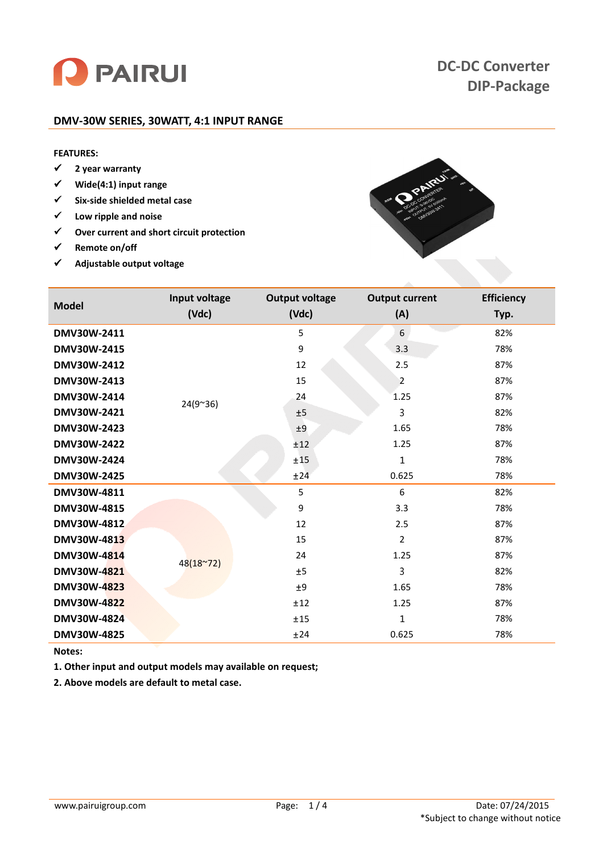

# **DC-DC Converter DIP-Package**

## **DMV-30W SERIES, 30WATT, 4:1 INPUT RANGE**

# **FEATURES:**

- **2 year warranty**
- **Wide(4:1) input range**
- **Six-side shielded metal case**
- **Low ripple and noise**
- **Over current and short circuit protection**
- **Remote on/off**
- **Adjustable output voltage**



| <b>Model</b>       | Input voltage<br>(Vdc) | <b>Output voltage</b><br>(Vdc) | <b>Output current</b><br>(A) | <b>Efficiency</b><br>Typ. |
|--------------------|------------------------|--------------------------------|------------------------------|---------------------------|
| DMV30W-2411        |                        | 5                              | 6                            | 82%                       |
| DMV30W-2415        |                        | 9                              | 3.3                          | 78%                       |
| DMV30W-2412        |                        | 12                             | 2.5                          | 87%                       |
| DMV30W-2413        | $24(9^{\sim}36)$       | 15                             | $\overline{2}$               | 87%                       |
| DMV30W-2414        |                        | 24                             | 1.25                         | 87%                       |
| DMV30W-2421        |                        | ±5                             | 3                            | 82%                       |
| DMV30W-2423        |                        | ±9                             | 1.65                         | 78%                       |
| DMV30W-2422        |                        | ±12                            | 1.25                         | 87%                       |
| DMV30W-2424        |                        | ±15                            | $\mathbf{1}$                 | 78%                       |
| DMV30W-2425        |                        | ±24                            | 0.625                        | 78%                       |
| DMV30W-4811        |                        | 5                              | 6                            | 82%                       |
| DMV30W-4815        |                        | 9                              | 3.3                          | 78%                       |
| DMV30W-4812        |                        | 12                             | 2.5                          | 87%                       |
| DMV30W-4813        | $48(18^{\circ}72)$     | 15                             | $\overline{2}$               | 87%                       |
| DMV30W-4814        |                        | 24                             | 1.25                         | 87%                       |
| DMV30W-4821        |                        | ±5                             | 3                            | 82%                       |
| <b>DMV30W-4823</b> |                        | ±9                             | 1.65                         | 78%                       |
| <b>DMV30W-4822</b> |                        | ±12                            | 1.25                         | 87%                       |
| DMV30W-4824        |                        | ±15                            | $\mathbf{1}$                 | 78%                       |
| DMV30W-4825        |                        | ±24                            | 0.625                        | 78%                       |

# **Notes:**

**1. Other input and output models may available on request;**

**2. Above models are default to metal case.**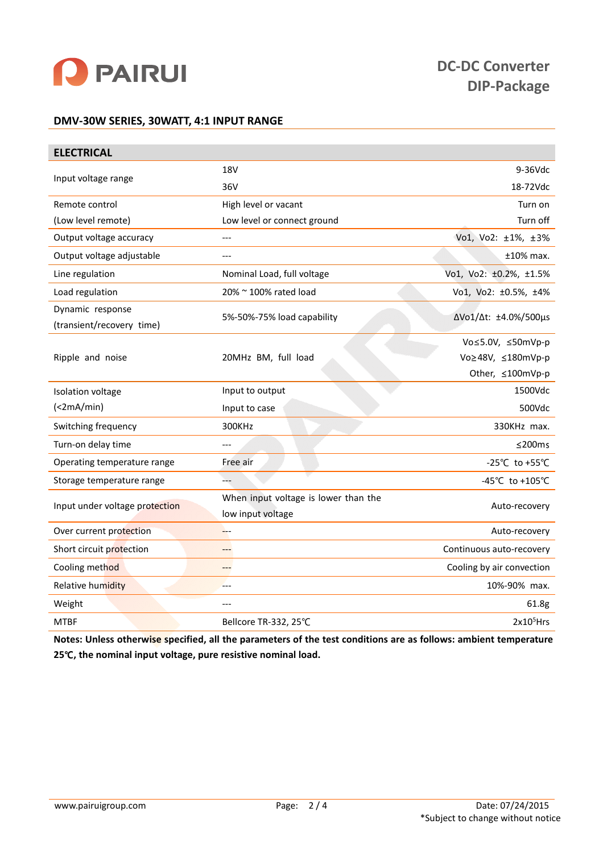

# **DMV-30W SERIES, 30WATT, 4:1 INPUT RANGE**

| <b>ELECTRICAL</b>              |                                      |                           |  |  |  |
|--------------------------------|--------------------------------------|---------------------------|--|--|--|
|                                | <b>18V</b>                           | $9-36Vdc$                 |  |  |  |
| Input voltage range            | 36V                                  | 18-72Vdc                  |  |  |  |
| Remote control                 | High level or vacant                 | Turn on                   |  |  |  |
| (Low level remote)             | Low level or connect ground          | Turn off                  |  |  |  |
| Output voltage accuracy        | $---$                                | Vo1, Vo2: ±1%, ±3%        |  |  |  |
| Output voltage adjustable      | ---                                  | $±10\%$ max.              |  |  |  |
| Line regulation                | Nominal Load, full voltage           | Vo1, Vo2: ±0.2%, ±1.5%    |  |  |  |
| Load regulation                | 20% ~ 100% rated load                | Vo1, Vo2: ±0.5%, ±4%      |  |  |  |
| Dynamic response               |                                      | ΔVo1/Δt: ±4.0%/500μs      |  |  |  |
| (transient/recovery time)      | 5%-50%-75% load capability           |                           |  |  |  |
|                                |                                      | Vo≤5.0V, ≤50mVp-p         |  |  |  |
| Ripple and noise               | 20MHz BM, full load                  | Vo≥48V, ≤180mVp-p         |  |  |  |
|                                |                                      | Other, ≤100mVp-p          |  |  |  |
| Isolation voltage              | Input to output                      | 1500Vdc                   |  |  |  |
| (<2mA/min)                     | Input to case                        | 500Vdc                    |  |  |  |
| Switching frequency            | 300KHz                               | 330KHz max.               |  |  |  |
| Turn-on delay time             | $---$                                | ≤200ms                    |  |  |  |
| Operating temperature range    | Free air                             | -25°C to +55°C            |  |  |  |
| Storage temperature range      | ---                                  | -45°C to +105°C           |  |  |  |
| Input under voltage protection | When input voltage is lower than the | Auto-recovery             |  |  |  |
|                                | low input voltage                    |                           |  |  |  |
| Over current protection        | $-$ --                               | Auto-recovery             |  |  |  |
| Short circuit protection       | ---                                  | Continuous auto-recovery  |  |  |  |
| Cooling method                 | ---                                  | Cooling by air convection |  |  |  |
| <b>Relative humidity</b>       | ---                                  | 10%-90% max.              |  |  |  |
| Weight                         | ---                                  | 61.8g                     |  |  |  |
| <b>MTBF</b>                    | Bellcore TR-332, 25°C                | $2x105$ Hrs               |  |  |  |

**Notes: Unless otherwise specified, all the parameters of the test conditions are as follows: ambient temperature 25**℃**, the nominal input voltage, pure resistive nominal load.**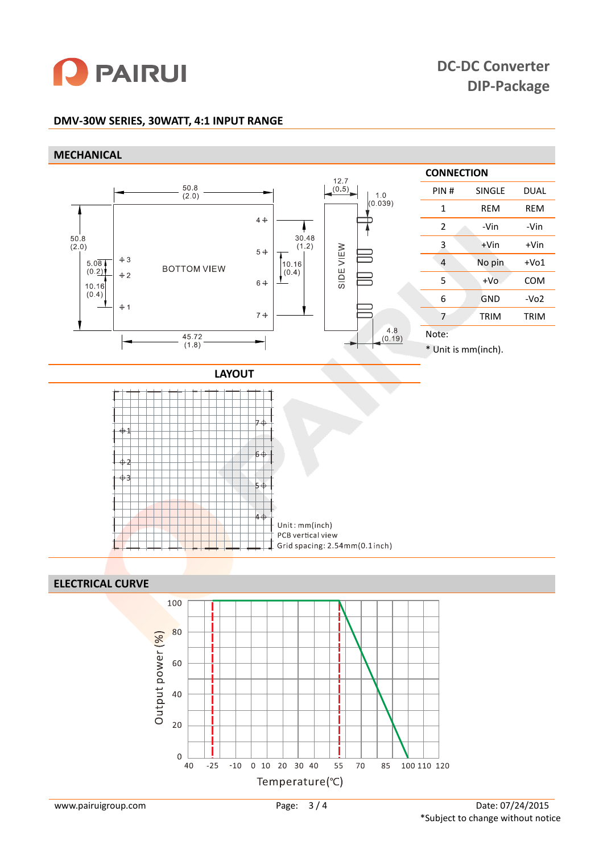

# **DMV-30W SERIES, 30WATT, 4:1 INPUT RANGE**

#### **MECHANICAL**